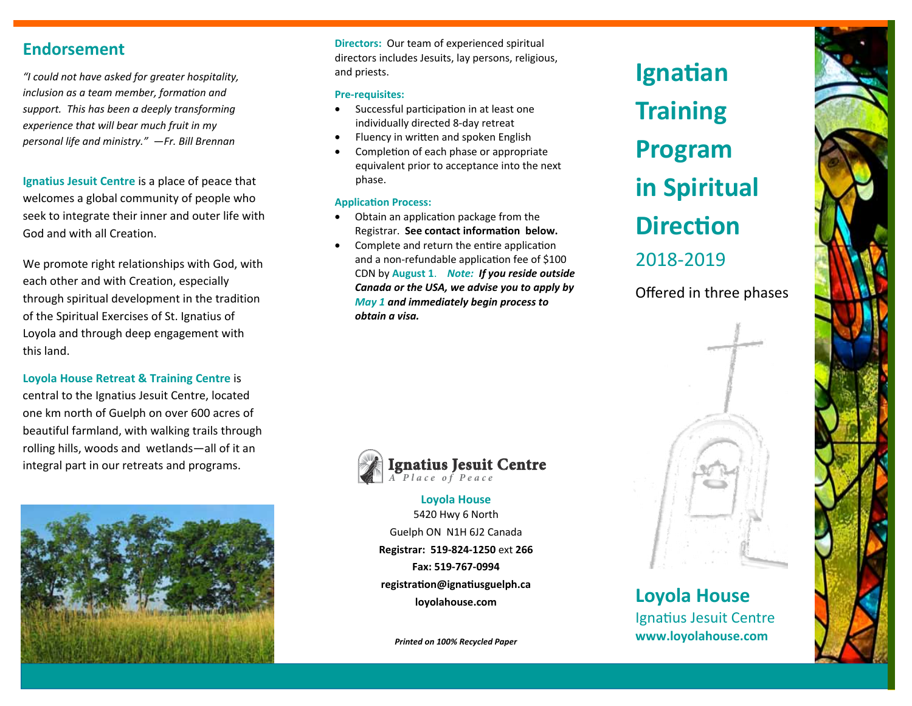# **Endorsement**

*"I could not have asked for greater hospitality, inclusion as a team member, formation and support. This has been a deeply transforming experience that will bear much fruit in my personal life and ministry." —Fr. Bill Brennan* 

**Ignatius Jesuit Centre** is a place of peace that welcomes a global community of people who seek to integrate their inner and outer life with God and with all Creation.

We promote right relationships with God, with each other and with Creation, especially through spiritual development in the tradition of the Spiritual Exercises of St. Ignatius of Loyola and through deep engagement with this land.

## **Loyola House Retreat & Training Centre** is

central to the Ignatius Jesuit Centre, located one km north of Guelph on over 600 acres of beautiful farmland, with walking trails through rolling hills, woods and wetlands—all of it an integral part in our retreats and programs.



**Directors:** Our team of experienced spiritual directors includes Jesuits, lay persons, religious, and priests.

#### **Pre-requisites:**

- $\bullet$ Successful participation in at least one individually directed 8-day retreat
- $\bullet$ Fluency in written and spoken English
- $\bullet$ Completion of each phase or appropriate equivalent prior to acceptance into the next phase.

#### **ApplicaƟon Process:**

- $\bullet$ Obtain an application package from the **Registrar.** See contact information below.
- $\bullet$ Complete and return the entire application and a non-refundable application fee of \$100 CDN by **August 1**. *Note: If you reside outside Canada or the USA, we advise you to apply by May 1 and immediately begin process to obtain a visa.*



# **Ignatius Jesuit Centre**

**Loyola House**  5420 Hwy 6 North Guelph ON N1H 6J2 Canada **Registrar: 519-824-1250** ext **266 Fax: 519-767-0994 registraƟon@ignaƟusguelph.ca loyolahouse.com** 

*Printed on 100% Recycled Paper*





**Loyola House**  Ignatius Jesuit Centre **www.loyolahouse.com**